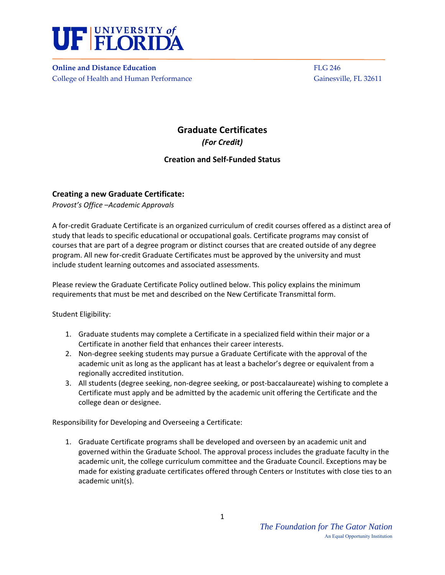

**Online** and Distance Education *Butcherse Education* *Butcherse Education Butcherse Education Butcherse Education* College of Health and Human Performance Gainesville, FL 32611

## **Graduate Certificates**  *(For Credit)*

## **Creation and Self‐Funded Status**

## **Creating a new Graduate Certificate:**

*Provost's Office –Academic Approvals* 

A for‐credit Graduate Certificate is an organized curriculum of credit courses offered as a distinct area of study that leads to specific educational or occupational goals. Certificate programs may consist of courses that are part of a degree program or distinct courses that are created outside of any degree program. All new for-credit Graduate Certificates must be approved by the university and must include student learning outcomes and associated assessments.

Please review the Graduate Certificate Policy outlined below. This policy explains the minimum requirements that must be met and described on the New Certificate Transmittal form.

Student Eligibility:

- 1. Graduate students may complete a Certificate in a specialized field within their major or a Certificate in another field that enhances their career interests.
- 2. Non‐degree seeking students may pursue a Graduate Certificate with the approval of the academic unit as long as the applicant has at least a bachelor's degree or equivalent from a regionally accredited institution.
- 3. All students (degree seeking, non-degree seeking, or post-baccalaureate) wishing to complete a Certificate must apply and be admitted by the academic unit offering the Certificate and the college dean or designee.

Responsibility for Developing and Overseeing a Certificate:

1. Graduate Certificate programs shall be developed and overseen by an academic unit and governed within the Graduate School. The approval process includes the graduate faculty in the academic unit, the college curriculum committee and the Graduate Council. Exceptions may be made for existing graduate certificates offered through Centers or Institutes with close ties to an academic unit(s).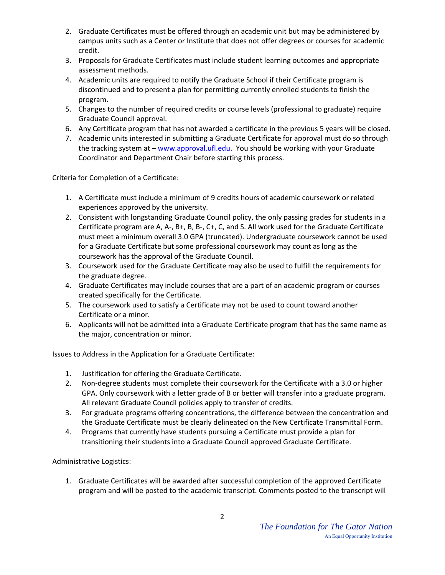- 2. Graduate Certificates must be offered through an academic unit but may be administered by campus units such as a Center or Institute that does not offer degrees or courses for academic credit.
- 3. Proposals for Graduate Certificates must include student learning outcomes and appropriate assessment methods.
- 4. Academic units are required to notify the Graduate School if their Certificate program is discontinued and to present a plan for permitting currently enrolled students to finish the program.
- 5. Changes to the number of required credits or course levels (professional to graduate) require Graduate Council approval.
- 6. Any Certificate program that has not awarded a certificate in the previous 5 years will be closed.
- 7. Academic units interested in submitting a Graduate Certificate for approval must do so through the tracking system at – www.approval.ufl.edu. You should be working with your Graduate Coordinator and Department Chair before starting this process.

Criteria for Completion of a Certificate:

- 1. A Certificate must include a minimum of 9 credits hours of academic coursework or related experiences approved by the university.
- 2. Consistent with longstanding Graduate Council policy, the only passing grades for students in a Certificate program are A, A‐, B+, B, B‐, C+, C, and S. All work used for the Graduate Certificate must meet a minimum overall 3.0 GPA (truncated). Undergraduate coursework cannot be used for a Graduate Certificate but some professional coursework may count as long as the coursework has the approval of the Graduate Council.
- 3. Coursework used for the Graduate Certificate may also be used to fulfill the requirements for the graduate degree.
- 4. Graduate Certificates may include courses that are a part of an academic program or courses created specifically for the Certificate.
- 5. The coursework used to satisfy a Certificate may not be used to count toward another Certificate or a minor.
- 6. Applicants will not be admitted into a Graduate Certificate program that has the same name as the major, concentration or minor.

Issues to Address in the Application for a Graduate Certificate:

- 1. Justification for offering the Graduate Certificate.
- 2. Non-degree students must complete their coursework for the Certificate with a 3.0 or higher GPA. Only coursework with a letter grade of B or better will transfer into a graduate program. All relevant Graduate Council policies apply to transfer of credits.
- 3. For graduate programs offering concentrations, the difference between the concentration and the Graduate Certificate must be clearly delineated on the New Certificate Transmittal Form.
- 4. Programs that currently have students pursuing a Certificate must provide a plan for transitioning their students into a Graduate Council approved Graduate Certificate.

Administrative Logistics:

1. Graduate Certificates will be awarded after successful completion of the approved Certificate program and will be posted to the academic transcript. Comments posted to the transcript will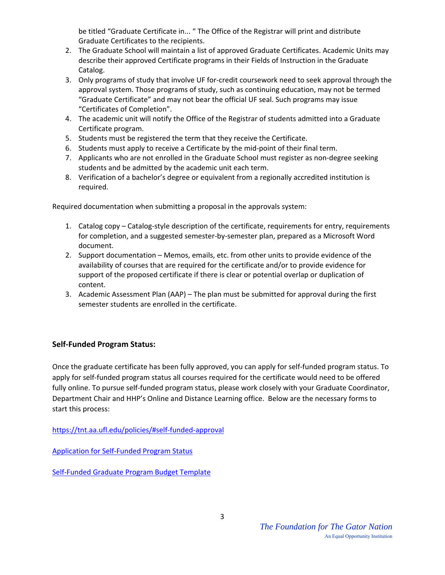be titled "Graduate Certificate in... " The Office of the Registrar will print and distribute Graduate Certificates to the recipients.

- 2. The Graduate School will maintain a list of approved Graduate Certificates. Academic Units may describe their approved Certificate programs in their Fields of Instruction in the Graduate Catalog.
- 3. Only programs of study that involve UF for-credit coursework need to seek approval through the approval system. Those programs of study, such as continuing education, may not be termed "Graduate Certificate" and may not bear the official UF seal. Such programs may issue "Certificates of Completion".
- 4. The academic unit will notify the Office of the Registrar of students admitted into a Graduate Certificate program.
- 5. Students must be registered the term that they receive the Certificate.
- 6. Students must apply to receive a Certificate by the mid‐point of their final term.
- 7. Applicants who are not enrolled in the Graduate School must register as non-degree seeking students and be admitted by the academic unit each term.
- 8. Verification of a bachelor's degree or equivalent from a regionally accredited institution is required.

Required documentation when submitting a proposal in the approvals system:

- 1. Catalog copy Catalog‐style description of the certificate, requirements for entry, requirements for completion, and a suggested semester‐by‐semester plan, prepared as a Microsoft Word document.
- 2. Support documentation Memos, emails, etc. from other units to provide evidence of the availability of courses that are required for the certificate and/or to provide evidence for support of the proposed certificate if there is clear or potential overlap or duplication of content.
- 3. Academic Assessment Plan (AAP) The plan must be submitted for approval during the first semester students are enrolled in the certificate.

## **Self‐Funded Program Status:**

Once the graduate certificate has been fully approved, you can apply for self‐funded program status. To apply for self-funded program status all courses required for the certificate would need to be offered fully online. To pursue self-funded program status, please work closely with your Graduate Coordinator, Department Chair and HHP's Online and Distance Learning office. Below are the necessary forms to start this process:

https://tnt.aa.ufl.edu/policies/#self‐funded‐approval

Application for Self‐Funded Program Status

Self‐Funded Graduate Program Budget Template